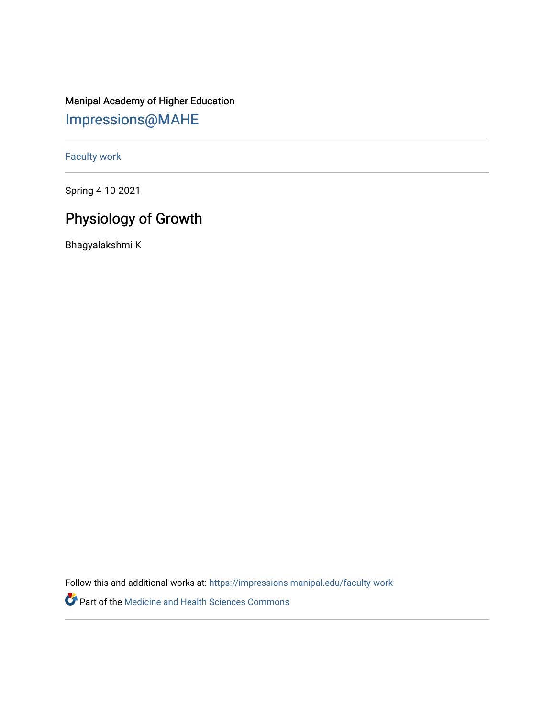## Manipal Academy of Higher Education [Impressions@MAHE](https://impressions.manipal.edu/)

[Faculty work](https://impressions.manipal.edu/faculty-work) 

Spring 4-10-2021

## Physiology of Growth

Bhagyalakshmi K

Follow this and additional works at: [https://impressions.manipal.edu/faculty-work](https://impressions.manipal.edu/faculty-work?utm_source=impressions.manipal.edu%2Ffaculty-work%2F106&utm_medium=PDF&utm_campaign=PDFCoverPages) 

Part of the [Medicine and Health Sciences Commons](http://network.bepress.com/hgg/discipline/648?utm_source=impressions.manipal.edu%2Ffaculty-work%2F106&utm_medium=PDF&utm_campaign=PDFCoverPages)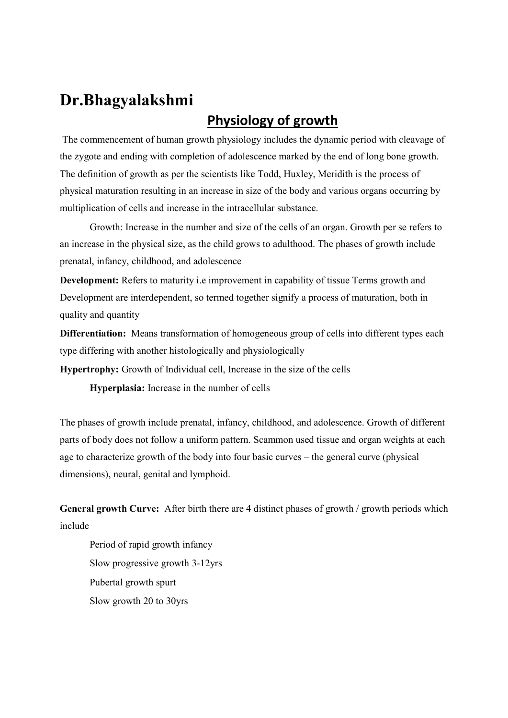# Dr.Bhagyalakshmi

### Physiology of growth

 The commencement of human growth physiology includes the dynamic period with cleavage of the zygote and ending with completion of adolescence marked by the end of long bone growth. The definition of growth as per the scientists like Todd, Huxley, Meridith is the process of physical maturation resulting in an increase in size of the body and various organs occurring by multiplication of cells and increase in the intracellular substance.

Growth: Increase in the number and size of the cells of an organ. Growth per se refers to an increase in the physical size, as the child grows to adulthood. The phases of growth include prenatal, infancy, childhood, and adolescence

Development: Refers to maturity i.e improvement in capability of tissue Terms growth and Development are interdependent, so termed together signify a process of maturation, both in quality and quantity

Differentiation: Means transformation of homogeneous group of cells into different types each type differing with another histologically and physiologically

Hypertrophy: Growth of Individual cell, Increase in the size of the cells

Hyperplasia: Increase in the number of cells

The phases of growth include prenatal, infancy, childhood, and adolescence. Growth of different parts of body does not follow a uniform pattern. Scammon used tissue and organ weights at each age to characterize growth of the body into four basic curves – the general curve (physical dimensions), neural, genital and lymphoid.

General growth Curve: After birth there are 4 distinct phases of growth / growth periods which include

Period of rapid growth infancy Slow progressive growth 3-12yrs Pubertal growth spurt Slow growth 20 to 30yrs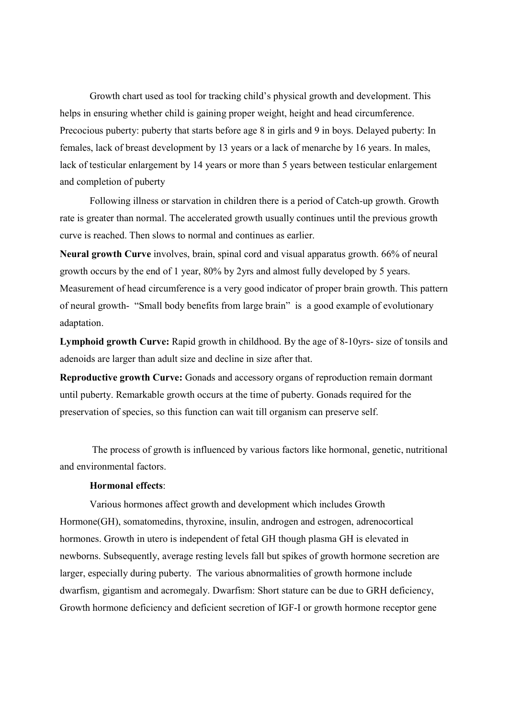Growth chart used as tool for tracking child's physical growth and development. This helps in ensuring whether child is gaining proper weight, height and head circumference. Precocious puberty: puberty that starts before age 8 in girls and 9 in boys. Delayed puberty: In females, lack of breast development by 13 years or a lack of menarche by 16 years. In males, lack of testicular enlargement by 14 years or more than 5 years between testicular enlargement and completion of puberty

Following illness or starvation in children there is a period of Catch-up growth. Growth rate is greater than normal. The accelerated growth usually continues until the previous growth curve is reached. Then slows to normal and continues as earlier.

Neural growth Curve involves, brain, spinal cord and visual apparatus growth. 66% of neural growth occurs by the end of 1 year, 80% by 2yrs and almost fully developed by 5 years. Measurement of head circumference is a very good indicator of proper brain growth. This pattern of neural growth- "Small body benefits from large brain" is a good example of evolutionary adaptation.

Lymphoid growth Curve: Rapid growth in childhood. By the age of 8-10yrs- size of tonsils and adenoids are larger than adult size and decline in size after that.

Reproductive growth Curve: Gonads and accessory organs of reproduction remain dormant until puberty. Remarkable growth occurs at the time of puberty. Gonads required for the preservation of species, so this function can wait till organism can preserve self.

 The process of growth is influenced by various factors like hormonal, genetic, nutritional and environmental factors.

#### Hormonal effects:

Various hormones affect growth and development which includes Growth Hormone(GH), somatomedins, thyroxine, insulin, androgen and estrogen, adrenocortical hormones. Growth in utero is independent of fetal GH though plasma GH is elevated in newborns. Subsequently, average resting levels fall but spikes of growth hormone secretion are larger, especially during puberty. The various abnormalities of growth hormone include dwarfism, gigantism and acromegaly. Dwarfism: Short stature can be due to GRH deficiency, Growth hormone deficiency and deficient secretion of IGF-I or growth hormone receptor gene